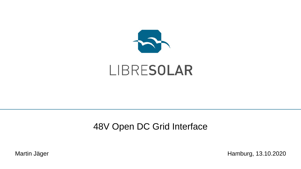

# LIBRESOLAR

## 48V Open DC Grid Interface

Martin Jäger **Martin Jäger** Hamburg, 13.10.2020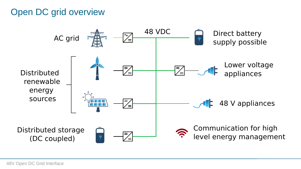## Open DC grid overview

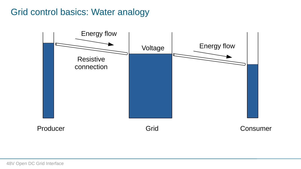### Grid control basics: Water analogy

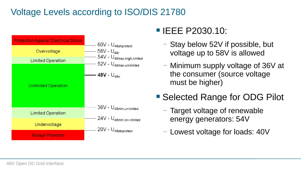# Voltage Levels according to ISO/DIS 21780



# ■ IEEE P2030.10:

- Stay below 52V if possible, but voltage up to 58V is allowed
- Minimum supply voltage of 36V at the consumer (source voltage must be higher)
- Selected Range for ODG Pilot
	- Target voltage of renewable energy generators: 54V
	- Lowest voltage for loads: 40V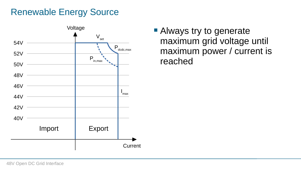## Renewable Energy Source



■ Always try to generate maximum grid voltage until maximum power / current is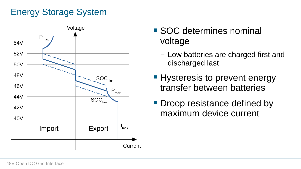# Energy Storage System



- SOC determines nominal voltage
	- Low batteries are charged first and discharged last
- Hysteresis to prevent energy transfer between batteries
- Droop resistance defined by maximum device current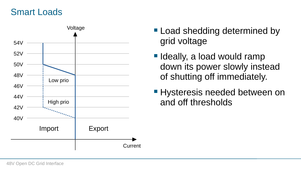#### Smart Loads



- Voltage Load shedding determined by grid voltage
	- Ideally, a load would ramp down its power slowly instead of shutting off immediately.
	- Hysteresis needed between on and off thresholds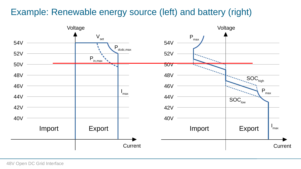# Example: Renewable energy source (left) and battery (right)

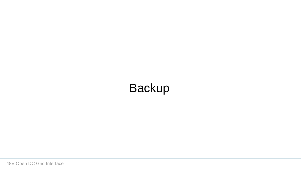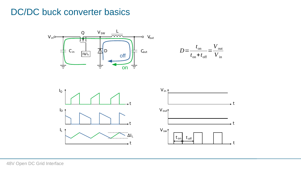#### DC/DC buck converter basics